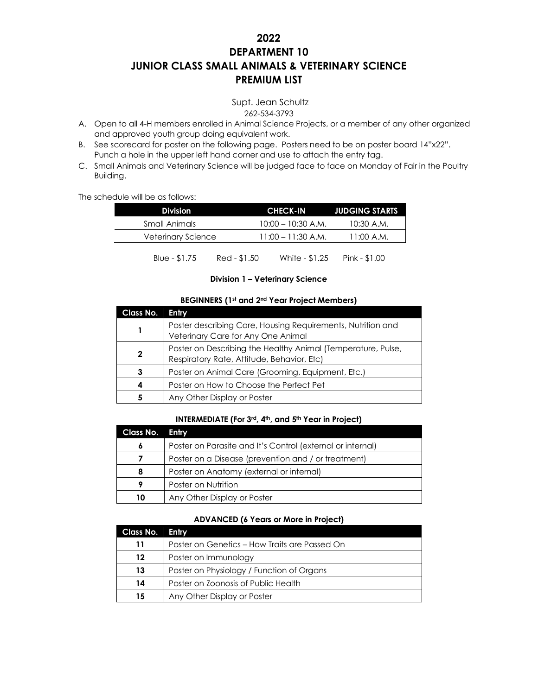# **2022 DEPARTMENT 10 JUNIOR CLASS SMALL ANIMALS & VETERINARY SCIENCE PREMIUM LIST**

Supt. Jean Schultz 262-534-3793

- A. Open to all 4-H members enrolled in Animal Science Projects, or a member of any other organized and approved youth group doing equivalent work.
- B. See scorecard for poster on the following page. Posters need to be on poster board 14"x22". Punch a hole in the upper left hand corner and use to attach the entry tag.
- C. Small Animals and Veterinary Science will be judged face to face on Monday of Fair in the Poultry Building.

The schedule will be as follows:

| <b>Division</b>    |              | <b>CHECK-IN</b>      | <b>JUDGING STARTS</b> |
|--------------------|--------------|----------------------|-----------------------|
| Small Animals      |              | $10:00 - 10:30$ A.M. | 10:30 A.M.            |
| Veterinary Science |              | $11:00 - 11:30 A.M.$ | 11:00 A.M.            |
| Blue - $$1.75$     | Red - \$1.50 | White - \$1.25       | Pink - \$1.00         |

#### **Division 1 – Veterinary Science**

### **BEGINNERS (1st and 2nd Year Project Members)**

| Class No. | <b>Entry</b>                                                                                               |
|-----------|------------------------------------------------------------------------------------------------------------|
|           | Poster describing Care, Housing Requirements, Nutrition and<br>Veterinary Care for Any One Animal          |
| 2         | Poster on Describing the Healthy Animal (Temperature, Pulse,<br>Respiratory Rate, Attitude, Behavior, Etc) |
| 3         | Poster on Animal Care (Grooming, Equipment, Etc.)                                                          |
|           | Poster on How to Choose the Perfect Pet                                                                    |
|           | Any Other Display or Poster                                                                                |

### **INTERMEDIATE (For 3rd, 4th, and 5th Year in Project)**

| <b>Class No.</b> | Entry                                                      |
|------------------|------------------------------------------------------------|
| 6                | Poster on Parasite and It's Control (external or internal) |
|                  | Poster on a Disease (prevention and / or treatment)        |
| 8                | Poster on Anatomy (external or internal)                   |
| 9                | Poster on Nutrition                                        |
| 10               | Any Other Display or Poster                                |

# **ADVANCED (6 Years or More in Project)**

| Class No. | Entry                                         |
|-----------|-----------------------------------------------|
| 11        | Poster on Genetics - How Traits are Passed On |
| 12        | Poster on Immunology                          |
| 13        | Poster on Physiology / Function of Organs     |
| 14        | Poster on Zoonosis of Public Health           |
| 15        | Any Other Display or Poster                   |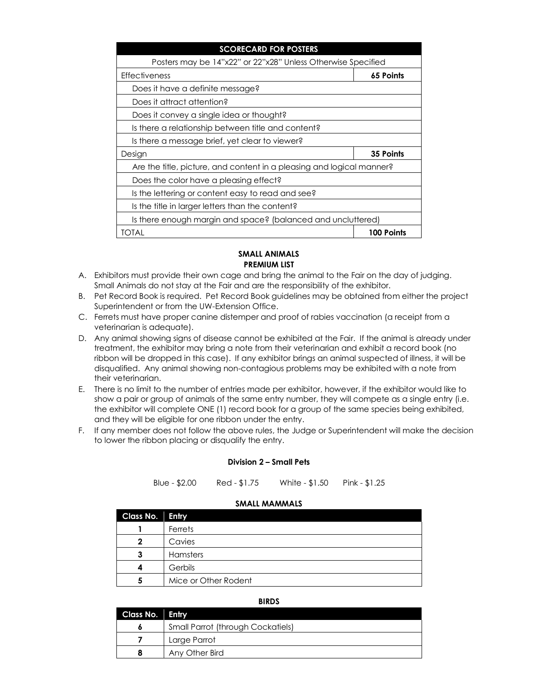| <b>SCORECARD FOR POSTERS</b>                                          |                   |
|-----------------------------------------------------------------------|-------------------|
| Posters may be 14"x22" or 22"x28" Unless Otherwise Specified          |                   |
| <b>Effectiveness</b>                                                  | 65 Points         |
| Does it have a definite message?                                      |                   |
| Does it attract attention?                                            |                   |
| Does it convey a single idea or thought?                              |                   |
| Is there a relationship between title and content?                    |                   |
| Is there a message brief, yet clear to viewer?                        |                   |
| Design                                                                | 35 Points         |
| Are the title, picture, and content in a pleasing and logical manner? |                   |
| Does the color have a pleasing effect?                                |                   |
| Is the lettering or content easy to read and see?                     |                   |
| Is the title in larger letters than the content?                      |                   |
| Is there enough margin and space? (balanced and uncluttered)          |                   |
| TOTAL                                                                 | <b>100 Points</b> |

## **SMALL ANIMALS PREMIUM LIST**

- A. Exhibitors must provide their own cage and bring the animal to the Fair on the day of judging. Small Animals do not stay at the Fair and are the responsibility of the exhibitor.
- B. Pet Record Book is required. Pet Record Book guidelines may be obtained from either the project Superintendent or from the UW-Extension Office.
- C. Ferrets must have proper canine distemper and proof of rabies vaccination (a receipt from a veterinarian is adequate).
- D. Any animal showing signs of disease cannot be exhibited at the Fair. If the animal is already under treatment, the exhibitor may bring a note from their veterinarian and exhibit a record book (no ribbon will be dropped in this case). If any exhibitor brings an animal suspected of illness, it will be disqualified. Any animal showing non-contagious problems may be exhibited with a note from their veterinarian.
- E. There is no limit to the number of entries made per exhibitor, however, if the exhibitor would like to show a pair or group of animals of the same entry number, they will compete as a single entry (i.e. the exhibitor will complete ONE (1) record book for a group of the same species being exhibited, and they will be eligible for one ribbon under the entry.
- F. If any member does not follow the above rules, the Judge or Superintendent will make the decision to lower the ribbon placing or disqualify the entry.

### **Division 2 – Small Pets**

Blue - \$2.00 Red - \$1.75 White - \$1.50 Pink - \$1.25

#### **SMALL MAMMALS**

| <b>Class No. Entry</b> |                      |
|------------------------|----------------------|
|                        | Ferrets              |
|                        | Cavies               |
|                        | Hamsters             |
|                        | Gerbils              |
|                        | Mice or Other Rodent |

#### **BIRDS**

| Class No. Entry |                                          |
|-----------------|------------------------------------------|
|                 | <b>Small Parrot (through Cockatiels)</b> |
|                 | Large Parrot                             |
|                 | Any Other Bird                           |